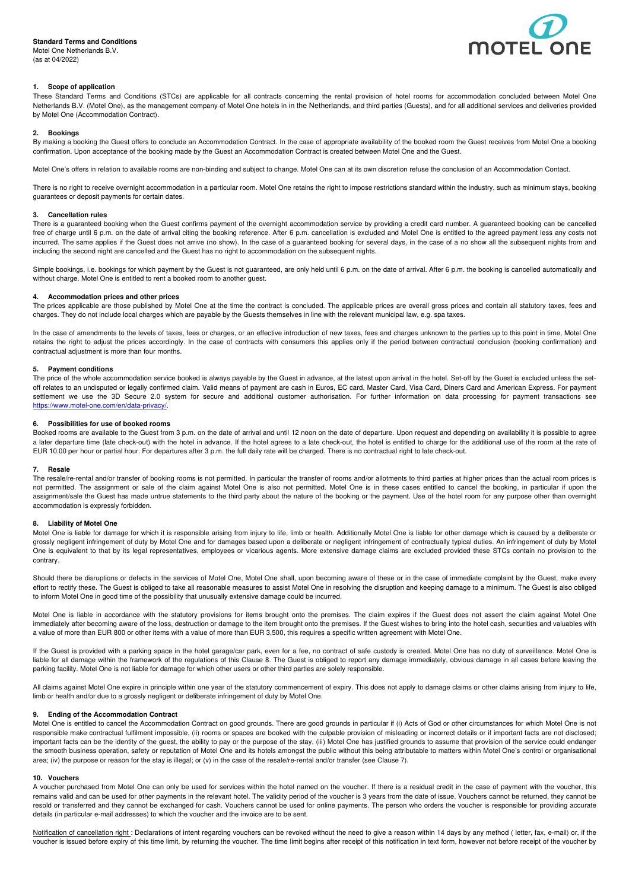(as at 04/2022)



# **1. Scope of application**

These Standard Terms and Conditions (STCs) are applicable for all contracts concerning the rental provision of hotel rooms for accommodation concluded between Motel One Netherlands B.V. (Motel One), as the management company of Motel One hotels in in the Netherlands, and third parties (Guests), and for all additional services and deliveries provided by Motel One (Accommodation Contract).

# **2. Bookings**

By making a booking the Guest offers to conclude an Accommodation Contract. In the case of appropriate availability of the booked room the Guest receives from Motel One a booking confirmation. Upon acceptance of the booking made by the Guest an Accommodation Contract is created between Motel One and the Guest.

Motel One's offers in relation to available rooms are non-binding and subject to change. Motel One can at its own discretion refuse the conclusion of an Accommodation Contact.

There is no right to receive overnight accommodation in a particular room. Motel One retains the right to impose restrictions standard within the industry, such as minimum stays, booking guarantees or deposit payments for certain dates.

## **3. Cancellation rules**

There is a guaranteed booking when the Guest confirms payment of the overnight accommodation service by providing a credit card number. A guaranteed booking can be cancelled free of charge until 6 p.m. on the date of arrival citing the booking reference. After 6 p.m. cancellation is excluded and Motel One is entitled to the agreed payment less any costs not incurred. The same applies if the Guest does not arrive (no show). In the case of a guaranteed booking for several days, in the case of a no show all the subsequent nights from and including the second night are cancelled and the Guest has no right to accommodation on the subsequent nights.

Simple bookings, i.e. bookings for which payment by the Guest is not guaranteed, are only held until 6 p.m. on the date of arrival. After 6 p.m. the booking is cancelled automatically and without charge. Motel One is entitled to rent a booked room to another guest.

# **4. Accommodation prices and other prices**

The prices applicable are those published by Motel One at the time the contract is concluded. The applicable prices are overall gross prices and contain all statutory taxes, fees and charges. They do not include local charges which are payable by the Guests themselves in line with the relevant municipal law, e.g. spa taxes.

In the case of amendments to the levels of taxes, fees or charges, or an effective introduction of new taxes, fees and charges unknown to the parties up to this point in time. Motel One retains the right to adjust the prices accordingly. In the case of contracts with consumers this applies only if the period between contractual conclusion (booking confirmation) and contractual adjustment is more than four months.

#### **5. Payment conditions**

The price of the whole accommodation service booked is always payable by the Guest in advance, at the latest upon arrival in the hotel. Set-off by the Guest is excluded unless the setoff relates to an undisputed or legally confirmed claim. Valid means of payment are cash in Euros, EC card, Master Card, Visa Card, Diners Card and American Express. For payment settlement we use the 3D Secure 2.0 system for secure and additional customer authorisation. For further information on data processing for payment transactions see https://www.motel-one.com/en/data-privacy/.

#### **6. Possibilities for use of booked rooms**

Booked rooms are available to the Guest from 3 p.m. on the date of arrival and until 12 noon on the date of departure. Upon request and depending on availability it is possible to agree a later departure time (late check-out) with the hotel in advance. If the hotel agrees to a late check-out, the hotel is entitled to charge for the additional use of the room at the rate of EUR 10.00 per hour or partial hour. For departures after 3 p.m. the full daily rate will be charged. There is no contractual right to late check-out.

### **7. Resale**

The resale/re-rental and/or transfer of booking rooms is not permitted. In particular the transfer of rooms and/or allotments to third parties at higher prices than the actual room prices is not permitted. The assignment or sale of the claim against Motel One is also not permitted. Motel One is in these cases entitled to cancel the booking, in particular if upon the assignment/sale the Guest has made untrue statements to the third party about the nature of the booking or the payment. Use of the hotel room for any purpose other than overnight accommodation is expressly forbidden.

## **8. Liability of Motel One**

Motel One is liable for damage for which it is responsible arising from injury to life, limb or health. Additionally Motel One is liable for other damage which is caused by a deliberate or grossly negligent infringement of duty by Motel One and for damages based upon a deliberate or negligent infringement of contractually typical duties. An infringement of duty by Motel One is equivalent to that by its legal representatives, employees or vicarious agents. More extensive damage claims are excluded provided these STCs contain no provision to the contrary.

Should there be disruptions or defects in the services of Motel One, Motel One shall, upon becoming aware of these or in the case of immediate complaint by the Guest, make every effort to rectify these. The Guest is obliged to take all reasonable measures to assist Motel One in resolving the disruption and keeping damage to a minimum. The Guest is also obliged to inform Motel One in good time of the possibility that unusually extensive damage could be incurred.

Motel One is liable in accordance with the statutory provisions for items brought onto the premises. The claim expires if the Guest does not assert the claim against Motel One immediately after becoming aware of the loss, destruction or damage to the item brought onto the premises. If the Guest wishes to bring into the hotel cash, securities and valuables with a value of more than EUR 800 or other items with a value of more than EUR 3,500, this requires a specific written agreement with Motel One.

If the Guest is provided with a parking space in the hotel garage/car park, even for a fee, no contract of safe custody is created. Motel One has no duty of surveillance. Motel One is liable for all damage within the framework of the regulations of this Clause 8. The Guest is obliged to report any damage immediately, obvious damage in all cases before leaving the parking facility. Motel One is not liable for damage for which other users or other third parties are solely responsible.

All claims against Motel One expire in principle within one year of the statutory commencement of expiry. This does not apply to damage claims or other claims arising from injury to life, limb or health and/or due to a grossly negligent or deliberate infringement of duty by Motel One.

## **9. Ending of the Accommodation Contract**

Motel One is entitled to cancel the Accommodation Contract on good grounds. There are good grounds in particular if (i) Acts of God or other circumstances for which Motel One is not responsible make contractual fulfilment impossible, (ii) rooms or spaces are booked with the culpable provision of misleading or incorrect details or if important facts are not disclosed; important facts can be the identity of the guest, the ability to pay or the purpose of the stay, (iii) Motel One has justified grounds to assume that provision of the service could endanger the smooth business operation, safety or reputation of Motel One and its hotels amongst the public without this being attributable to matters within Motel One's control or organisational area; (iv) the purpose or reason for the stay is illegal; or (v) in the case of the resale/re-rental and/or transfer (see Clause 7).

### **10. Vouchers**

A voucher purchased from Motel One can only be used for services within the hotel named on the voucher. If there is a residual credit in the case of payment with the voucher, this remains valid and can be used for other payments in the relevant hotel. The validity period of the voucher is 3 years from the date of issue. Vouchers cannot be returned, they cannot be resold or transferred and they cannot be exchanged for cash. Vouchers cannot be used for online payments. The person who orders the voucher is responsible for providing accurate details (in particular e-mail addresses) to which the voucher and the invoice are to be sent.

Notification of cancellation right : Declarations of intent regarding vouchers can be revoked without the need to give a reason within 14 days by any method (letter, fax, e-mail) or, if the voucher is issued before expiry of this time limit, by returning the voucher. The time limit begins after receipt of this notification in text form, however not before receipt of the voucher by